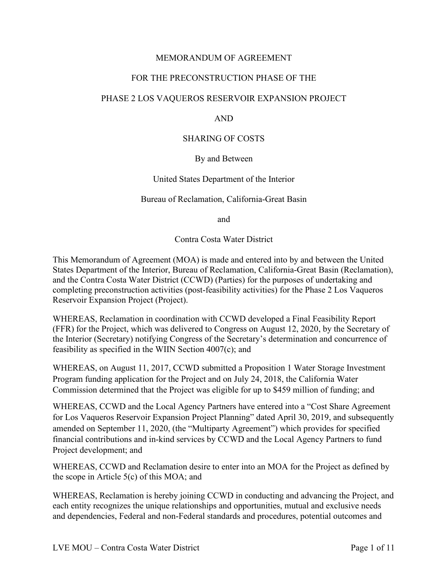# MEMORANDUM OF AGREEMENT

# FOR THE PRECONSTRUCTION PHASE OF THE

# PHASE 2 LOS VAQUEROS RESERVOIR EXPANSION PROJECT

## **AND**

# AND<br>SHARING OF COSTS

#### By and Between

#### United States Department of the Interior

## Bureau of Reclamation, California-Great Basin

and

and<br>Contra Costa Water District

 This Memorandum of Agreement (MOA) is made and entered into by and between the United completing preconstruction activities (post-feasibility activities) for the Phase 2 Los Vaqueros States Department of the Interior, Bureau of Reclamation, California-Great Basin (Reclamation), and the Contra Costa Water District (CCWD) (Parties) for the purposes of undertaking and Reservoir Expansion Project (Project).

WHEREAS, Reclamation in coordination with CCWD developed a Final Feasibility Report (FFR) for the Project, which was delivered to Congress on August 12, 2020, by the Secretary of the Interior (Secretary) notifying Congress of the Secretary's determination and concurrence of feasibility as specified in the WIIN Section 4007(c); and

 WHEREAS, on August 11, 2017, CCWD submitted a Proposition 1 Water Storage Investment Program funding application for the Project and on July 24, 2018, the California Water Commission determined that the Project was eligible for up to \$459 million of funding; and

WHEREAS, CCWD and the Local Agency Partners have entered into a "Cost Share Agreement for Los Vaqueros Reservoir Expansion Project Planning" dated April 30, 2019, and subsequently amended on September 11, 2020, (the "Multiparty Agreement") which provides for specified financial contributions and in-kind services by CCWD and the Local Agency Partners to fund Project development; and

WHEREAS, CCWD and Reclamation desire to enter into an MOA for the Project as defined by the scope in Article 5(c) of this MOA; and

WHEREAS, Reclamation is hereby joining CCWD in conducting and advancing the Project, and each entity recognizes the unique relationships and opportunities, mutual and exclusive needs and dependencies, Federal and non-Federal standards and procedures, potential outcomes and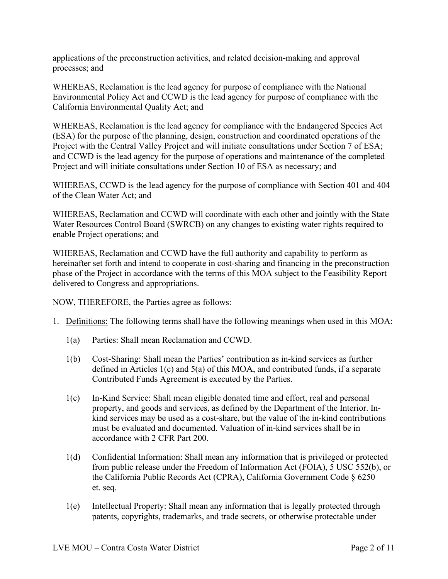applications of the preconstruction activities, and related decision-making and approval processes; and

WHEREAS, Reclamation is the lead agency for purpose of compliance with the National Environmental Policy Act and CCWD is the lead agency for purpose of compliance with the California Environmental Quality Act; and

 and CCWD is the lead agency for the purpose of operations and maintenance of the completed WHEREAS, Reclamation is the lead agency for compliance with the Endangered Species Act (ESA) for the purpose of the planning, design, construction and coordinated operations of the Project with the Central Valley Project and will initiate consultations under Section 7 of ESA; Project and will initiate consultations under Section 10 of ESA as necessary; and

WHEREAS, CCWD is the lead agency for the purpose of compliance with Section 401 and 404 of the Clean Water Act; and

WHEREAS, Reclamation and CCWD will coordinate with each other and jointly with the State Water Resources Control Board (SWRCB) on any changes to existing water rights required to enable Project operations; and

WHEREAS, Reclamation and CCWD have the full authority and capability to perform as hereinafter set forth and intend to cooperate in cost-sharing and financing in the preconstruction phase of the Project in accordance with the terms of this MOA subject to the Feasibility Report delivered to Congress and appropriations.

NOW, THEREFORE, the Parties agree as follows:

- 1. Definitions: The following terms shall have the following meanings when used in this MOA:
	- 1(a) Parties: Shall mean Reclamation and CCWD.
	- 1(b) Cost-Sharing: Shall mean the Parties' contribution as in-kind services as further defined in Articles 1(c) and 5(a) of this MOA, and contributed funds, if a separate Contributed Funds Agreement is executed by the Parties.
	- 1(c) In-Kind Service: Shall mean eligible donated time and effort, real and personal property, and goods and services, as defined by the Department of the Interior. Inkind services may be used as a cost-share, but the value of the in-kind contributions must be evaluated and documented. Valuation of in-kind services shall be in accordance with 2 CFR Part 200.
	- from public release under the Freedom of Information Act (FOIA), 5 USC 552(b), or et. seq. 1(d) Confidential Information: Shall mean any information that is privileged or protected the California Public Records Act (CPRA), California Government Code § 6250
	- patents, copyrights, trademarks, and trade secrets, or otherwise protectable under 1(e) Intellectual Property: Shall mean any information that is legally protected through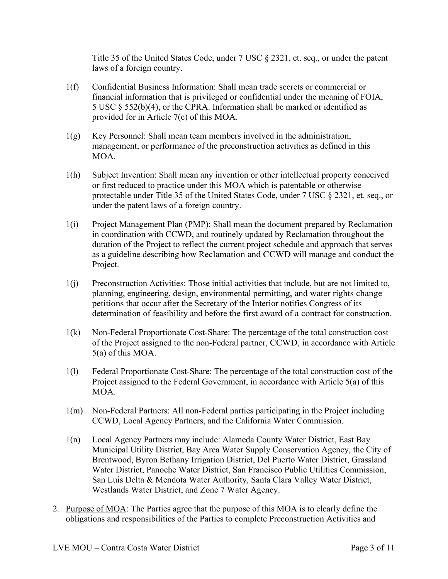Title 35 of the United States Code, under 7 USC § 2321, et. seq., or under the patent laws of a foreign country.

- provided for in Article 7(c) of this MOA. 1(f) Confidential Business Information: Shall mean trade secrets or commercial or financial information that is privileged or confidential under the meaning of FOIA, 5 USC § 552(b)(4), or the CPRA. Information shall be marked or identified as
- 1(g) Key Personnel: Shall mean team members involved in the administration, management, or performance of the preconstruction activities as defined in this MOA.
- or first reduced to practice under this MOA which is patentable or otherwise 1(h) Subject Invention: Shall mean any invention or other intellectual property conceived protectable under Title 35 of the United States Code, under 7 USC § 2321, et. seq., or under the patent laws of a foreign country.
- duration of the Project to reflect the current project schedule and approach that serves 1(i) Project Management Plan (PMP): Shall mean the document prepared by Reclamation in coordination with CCWD, and routinely updated by Reclamation throughout the as a guideline describing how Reclamation and CCWD will manage and conduct the Project.
- petitions that occur after the Secretary of the Interior notifies Congress of its 1(j) Preconstruction Activities: Those initial activities that include, but are not limited to, planning, engineering, design, environmental permitting, and water rights change determination of feasibility and before the first award of a contract for construction.
- 5(a) of this MOA. 1(k) Non-Federal Proportionate Cost-Share: The percentage of the total construction cost of the Project assigned to the non-Federal partner, CCWD, in accordance with Article
- 1(l) Federal Proportionate Cost-Share: The percentage of the total construction cost of the Project assigned to the Federal Government, in accordance with Article 5(a) of this MOA.
- 1(m) Non-Federal Partners: All non-Federal parties participating in the Project including CCWD, Local Agency Partners, and the California Water Commission.
- San Luis Delta & Mendota Water Authority, Santa Clara Valley Water District, 1(n) Local Agency Partners may include: Alameda County Water District, East Bay Municipal Utility District, Bay Area Water Supply Conservation Agency, the City of Brentwood, Byron Bethany Irrigation District, Del Puerto Water District, Grassland Water District, Panoche Water District, San Francisco Public Utilities Commission, Westlands Water District, and Zone 7 Water Agency.
- 2. Purpose of MOA: The Parties agree that the purpose of this MOA is to clearly define the obligations and responsibilities of the Parties to complete Preconstruction Activities and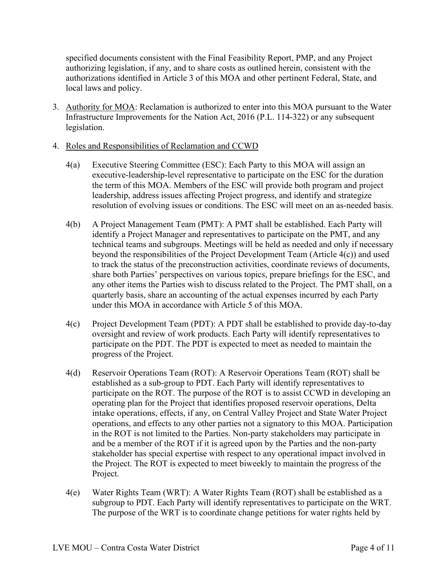specified documents consistent with the Final Feasibility Report, PMP, and any Project authorizing legislation, if any, and to share costs as outlined herein, consistent with the authorizations identified in Article 3 of this MOA and other pertinent Federal, State, and local laws and policy.

3. Authority for MOA: Reclamation is authorized to enter into this MOA pursuant to the Water Infrastructure Improvements for the Nation Act, 2016 (P.L. 114-322) or any subsequent legislation.

## 4. Roles and Responsibilities of Reclamation and CCWD

- 4(a) Executive Steering Committee (ESC): Each Party to this MOA will assign an executive-leadership-level representative to participate on the ESC for the duration the term of this MOA. Members of the ESC will provide both program and project leadership, address issues affecting Project progress, and identify and strategize resolution of evolving issues or conditions. The ESC will meet on an as-needed basis.
- quarterly basis, share an accounting of the actual expenses incurred by each Party under this MOA in accordance with Article 5 of this MOA. 4(b) A Project Management Team (PMT): A PMT shall be established. Each Party will identify a Project Manager and representatives to participate on the PMT, and any technical teams and subgroups. Meetings will be held as needed and only if necessary beyond the responsibilities of the Project Development Team (Article 4(c)) and used to track the status of the preconstruction activities, coordinate reviews of documents, share both Parties' perspectives on various topics, prepare briefings for the ESC, and any other items the Parties wish to discuss related to the Project. The PMT shall, on a
- 4(c) Project Development Team (PDT): A PDT shall be established to provide day-to-day oversight and review of work products. Each Party will identify representatives to participate on the PDT. The PDT is expected to meet as needed to maintain the progress of the Project.
- 4(d) Reservoir Operations Team (ROT): A Reservoir Operations Team (ROT) shall be established as a sub-group to PDT. Each Party will identify representatives to participate on the ROT. The purpose of the ROT is to assist CCWD in developing an operating plan for the Project that identifies proposed reservoir operations, Delta intake operations, effects, if any, on Central Valley Project and State Water Project operations, and effects to any other parties not a signatory to this MOA. Participation in the ROT is not limited to the Parties. Non-party stakeholders may participate in and be a member of the ROT if it is agreed upon by the Parties and the non-party stakeholder has special expertise with respect to any operational impact involved in the Project. The ROT is expected to meet biweekly to maintain the progress of the Project.
- subgroup to PDT. Each Party will identify representatives to participate on the WRT. The purpose of the WRT is to coordinate change petitions for water rights held by 4(e) Water Rights Team (WRT): A Water Rights Team (ROT) shall be established as a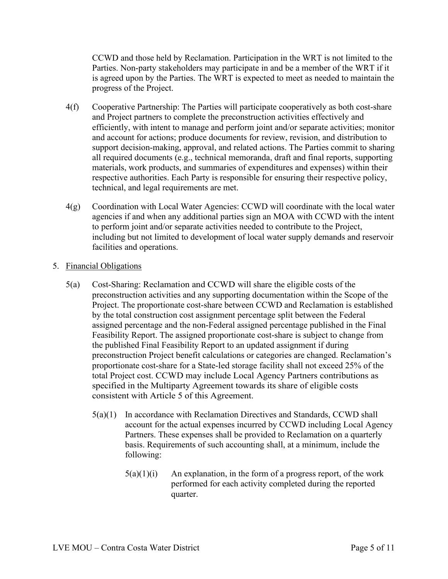is agreed upon by the Parties. The WRT is expected to meet as needed to maintain the CCWD and those held by Reclamation. Participation in the WRT is not limited to the Parties. Non-party stakeholders may participate in and be a member of the WRT if it progress of the Project.

- 4(f) Cooperative Partnership: The Parties will participate cooperatively as both cost-share and Project partners to complete the preconstruction activities effectively and efficiently, with intent to manage and perform joint and/or separate activities; monitor and account for actions; produce documents for review, revision, and distribution to support decision-making, approval, and related actions. The Parties commit to sharing all required documents (e.g., technical memoranda, draft and final reports, supporting materials, work products, and summaries of expenditures and expenses) within their respective authorities. Each Party is responsible for ensuring their respective policy, technical, and legal requirements are met.
- 4(g) Coordination with Local Water Agencies: CCWD will coordinate with the local water agencies if and when any additional parties sign an MOA with CCWD with the intent to perform joint and/or separate activities needed to contribute to the Project, including but not limited to development of local water supply demands and reservoir facilities and operations.

# 5. Financial Obligations

- 5(a) Cost-Sharing: Reclamation and CCWD will share the eligible costs of the proportionate cost-share for a State-led storage facility shall not exceed 25% of the total Project cost. CCWD may include Local Agency Partners contributions as consistent with Article 5 of this Agreement. preconstruction activities and any supporting documentation within the Scope of the Project. The proportionate cost-share between CCWD and Reclamation is established by the total construction cost assignment percentage split between the Federal assigned percentage and the non-Federal assigned percentage published in the Final Feasibility Report. The assigned proportionate cost-share is subject to change from the published Final Feasibility Report to an updated assignment if during preconstruction Project benefit calculations or categories are changed. Reclamation's specified in the Multiparty Agreement towards its share of eligible costs
	- 5(a)(1) In accordance with Reclamation Directives and Standards, CCWD shall account for the actual expenses incurred by CCWD including Local Agency Partners. These expenses shall be provided to Reclamation on a quarterly basis. Requirements of such accounting shall, at a minimum, include the following:
		- $5(a)(1)(i)$  An explanation, in the form of a progress report, of the work performed for each activity completed during the reported quarter.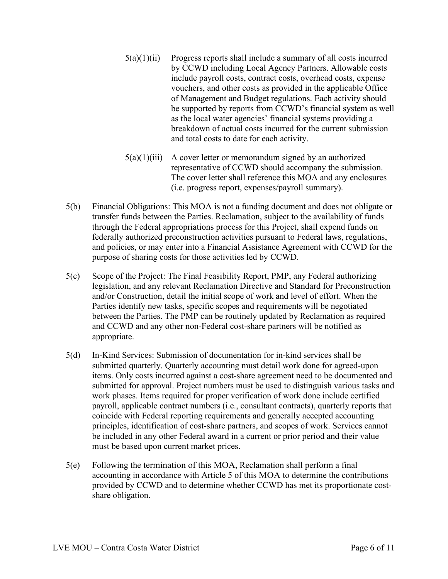- $5(a)(1)(ii)$  Progress reports shall include a summary of all costs incurred by CCWD including Local Agency Partners. Allowable costs include payroll costs, contract costs, overhead costs, expense vouchers, and other costs as provided in the applicable Office of Management and Budget regulations. Each activity should be supported by reports from CCWD's financial system as well as the local water agencies' financial systems providing a breakdown of actual costs incurred for the current submission and total costs to date for each activity.
- $5(a)(1)(iii)$  A cover letter or memorandum signed by an authorized representative of CCWD should accompany the submission. The cover letter shall reference this MOA and any enclosures (i.e. progress report, expenses/payroll summary).
- 5(b) Financial Obligations: This MOA is not a funding document and does not obligate or transfer funds between the Parties. Reclamation, subject to the availability of funds through the Federal appropriations process for this Project, shall expend funds on federally authorized preconstruction activities pursuant to Federal laws, regulations, and policies, or may enter into a Financial Assistance Agreement with CCWD for the purpose of sharing costs for those activities led by CCWD.
- 5(c) Scope of the Project: The Final Feasibility Report, PMP, any Federal authorizing legislation, and any relevant Reclamation Directive and Standard for Preconstruction and/or Construction, detail the initial scope of work and level of effort. When the Parties identify new tasks, specific scopes and requirements will be negotiated between the Parties. The PMP can be routinely updated by Reclamation as required and CCWD and any other non-Federal cost-share partners will be notified as appropriate.
- 5(d) In-Kind Services: Submission of documentation for in-kind services shall be submitted quarterly. Quarterly accounting must detail work done for agreed-upon items. Only costs incurred against a cost-share agreement need to be documented and submitted for approval. Project numbers must be used to distinguish various tasks and work phases. Items required for proper verification of work done include certified payroll, applicable contract numbers (i.e., consultant contracts), quarterly reports that coincide with Federal reporting requirements and generally accepted accounting principles, identification of cost-share partners, and scopes of work. Services cannot be included in any other Federal award in a current or prior period and their value must be based upon current market prices.
- 5(e) Following the termination of this MOA, Reclamation shall perform a final accounting in accordance with Article 5 of this MOA to determine the contributions provided by CCWD and to determine whether CCWD has met its proportionate costshare obligation.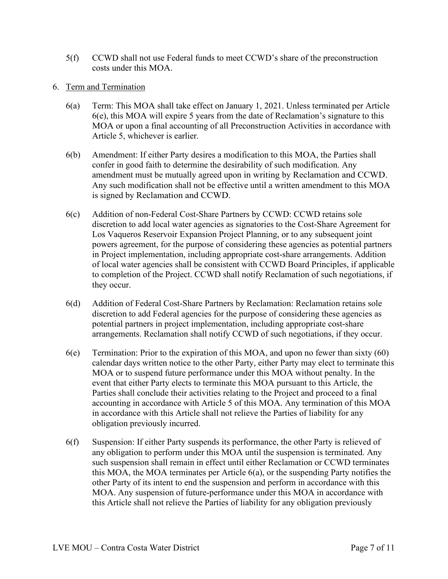- 5(f) CCWD shall not use Federal funds to meet CCWD's share of the preconstruction costs under this MOA.
- 6. Term and Termination
	- 6(a) Term: This MOA shall take effect on January 1, 2021. Unless terminated per Article 6(e), this MOA will expire 5 years from the date of Reclamation's signature to this MOA or upon a final accounting of all Preconstruction Activities in accordance with Article 5, whichever is earlier.
	- amendment must be mutually agreed upon in writing by Reclamation and CCWD. Any such modification shall not be effective until a written amendment to this MOA 6(b) Amendment: If either Party desires a modification to this MOA, the Parties shall confer in good faith to determine the desirability of such modification. Any is signed by Reclamation and CCWD.
	- Los Vaqueros Reservoir Expansion Project Planning, or to any subsequent joint powers agreement, for the purpose of considering these agencies as potential partners to completion of the Project. CCWD shall notify Reclamation of such negotiations, if 6(c) Addition of non-Federal Cost-Share Partners by CCWD: CCWD retains sole discretion to add local water agencies as signatories to the Cost-Share Agreement for in Project implementation, including appropriate cost-share arrangements. Addition of local water agencies shall be consistent with CCWD Board Principles, if applicable they occur.
	- discretion to add Federal agencies for the purpose of considering these agencies as 6(d) Addition of Federal Cost-Share Partners by Reclamation: Reclamation retains sole potential partners in project implementation, including appropriate cost-share arrangements. Reclamation shall notify CCWD of such negotiations, if they occur.
	- accounting in accordance with Article 5 of this MOA. Any termination of this MOA  $6(e)$  Termination: Prior to the expiration of this MOA, and upon no fewer than sixty  $(60)$ calendar days written notice to the other Party, either Party may elect to terminate this MOA or to suspend future performance under this MOA without penalty. In the event that either Party elects to terminate this MOA pursuant to this Article, the Parties shall conclude their activities relating to the Project and proceed to a final in accordance with this Article shall not relieve the Parties of liability for any obligation previously incurred.
	- any obligation to perform under this MOA until the suspension is terminated. Any such suspension shall remain in effect until either Reclamation or CCWD terminates 6(f) Suspension: If either Party suspends its performance, the other Party is relieved of this MOA, the MOA terminates per Article 6(a), or the suspending Party notifies the other Party of its intent to end the suspension and perform in accordance with this MOA. Any suspension of future-performance under this MOA in accordance with this Article shall not relieve the Parties of liability for any obligation previously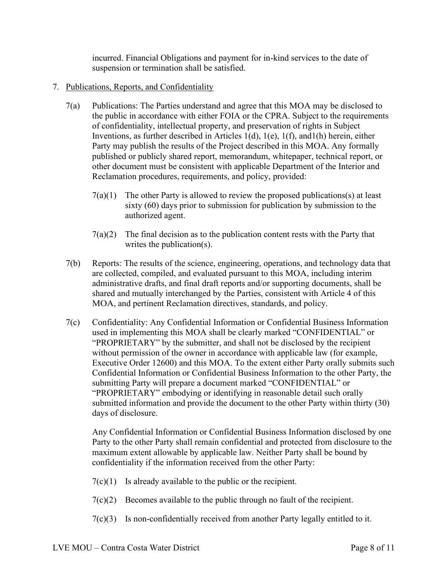incurred. Financial Obligations and payment for in-kind services to the date of suspension or termination shall be satisfied.

# 7. Publications, Reports, and Confidentiality

- published or publicly shared report, memorandum, whitepaper, technical report, or 7(a) Publications: The Parties understand and agree that this MOA may be disclosed to the public in accordance with either FOIA or the CPRA. Subject to the requirements of confidentiality, intellectual property, and preservation of rights in Subject Inventions, as further described in Articles 1(d), 1(e), 1(f), and1(h) herein, either Party may publish the results of the Project described in this MOA. Any formally other document must be consistent with applicable Department of the Interior and Reclamation procedures, requirements, and policy, provided:
	- $7(a)(1)$  The other Party is allowed to review the proposed publications(s) at least sixty (60) days prior to submission for publication by submission to the authorized agent.
	- $7(a)(2)$  The final decision as to the publication content rests with the Party that writes the publication(s).
- 7(b) Reports: The results of the science, engineering, operations, and technology data that are collected, compiled, and evaluated pursuant to this MOA, including interim administrative drafts, and final draft reports and/or supporting documents, shall be shared and mutually interchanged by the Parties, consistent with Article 4 of this MOA, and pertinent Reclamation directives, standards, and policy.
- Executive Order 12600) and this MOA. To the extent either Party orally submits such Confidential Information or Confidential Business Information to the other Party, the 7(c) Confidentiality: Any Confidential Information or Confidential Business Information used in implementing this MOA shall be clearly marked "CONFIDENTIAL" or "PROPRIETARY" by the submitter, and shall not be disclosed by the recipient without permission of the owner in accordance with applicable law (for example, submitting Party will prepare a document marked "CONFIDENTIAL" or "PROPRIETARY" embodying or identifying in reasonable detail such orally submitted information and provide the document to the other Party within thirty (30) days of disclosure.

Any Confidential Information or Confidential Business Information disclosed by one Party to the other Party shall remain confidential and protected from disclosure to the maximum extent allowable by applicable law. Neither Party shall be bound by confidentiality if the information received from the other Party:

- $7(c)(1)$  Is already available to the public or the recipient.
- 7(c)(2) Becomes available to the public through no fault of the recipient.
- $7(c)(3)$  Is non-confidentially received from another Party legally entitled to it.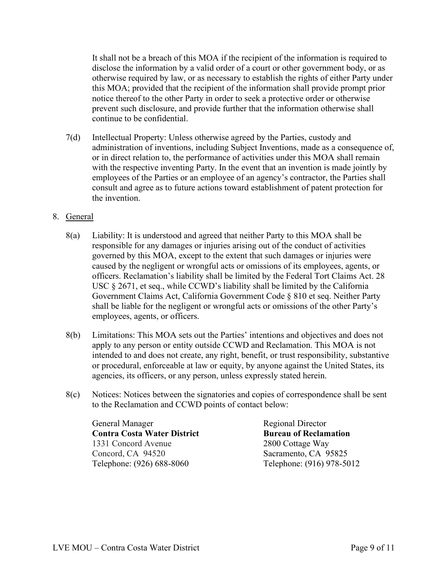It shall not be a breach of this MOA if the recipient of the information is required to disclose the information by a valid order of a court or other government body, or as otherwise required by law, or as necessary to establish the rights of either Party under this MOA; provided that the recipient of the information shall provide prompt prior notice thereof to the other Party in order to seek a protective order or otherwise prevent such disclosure, and provide further that the information otherwise shall continue to be confidential.

 or in direct relation to, the performance of activities under this MOA shall remain 7(d) Intellectual Property: Unless otherwise agreed by the Parties, custody and administration of inventions, including Subject Inventions, made as a consequence of, with the respective inventing Party. In the event that an invention is made jointly by employees of the Parties or an employee of an agency's contractor, the Parties shall consult and agree as to future actions toward establishment of patent protection for the invention.

# 8. General

- responsible for any damages or injuries arising out of the conduct of activities governed by this MOA, except to the extent that such damages or injuries were officers. Reclamation's liability shall be limited by the Federal Tort Claims Act. 28 8(a) Liability: It is understood and agreed that neither Party to this MOA shall be caused by the negligent or wrongful acts or omissions of its employees, agents, or USC § 2671, et seq., while CCWD's liability shall be limited by the California Government Claims Act, California Government Code § 810 et seq. Neither Party shall be liable for the negligent or wrongful acts or omissions of the other Party's employees, agents, or officers.
- apply to any person or entity outside CCWD and Reclamation. This MOA is not 8(b) Limitations: This MOA sets out the Parties' intentions and objectives and does not intended to and does not create, any right, benefit, or trust responsibility, substantive or procedural, enforceable at law or equity, by anyone against the United States, its agencies, its officers, or any person, unless expressly stated herein.
- 8(c) Notices: Notices between the signatories and copies of correspondence shall be sent to the Reclamation and CCWD points of contact below:

General Manager Regional Director **Contra Costa Water District Bureau of Reclamation** 1331 Concord Avenue 2800 Cottage Way Concord, CA 94520 Sacramento, CA 95825 Telephone: (926) 688-8060 Telephone: (916) 978-5012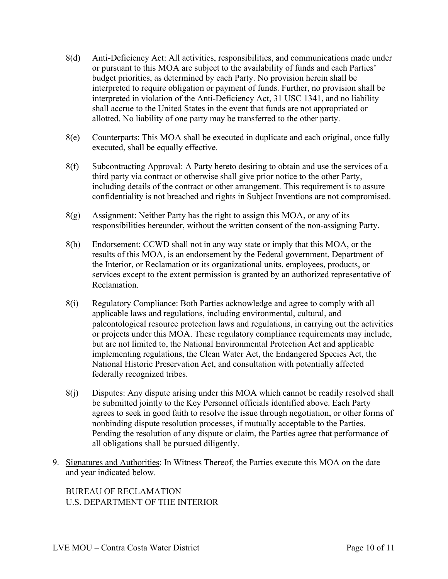- 8(d) Anti-Deficiency Act: All activities, responsibilities, and communications made under or pursuant to this MOA are subject to the availability of funds and each Parties' budget priorities, as determined by each Party. No provision herein shall be interpreted to require obligation or payment of funds. Further, no provision shall be interpreted in violation of the Anti-Deficiency Act, 31 USC 1341, and no liability shall accrue to the United States in the event that funds are not appropriated or allotted. No liability of one party may be transferred to the other party.
- 8(e) Counterparts: This MOA shall be executed in duplicate and each original, once fully executed, shall be equally effective.
- 8(f) Subcontracting Approval: A Party hereto desiring to obtain and use the services of a third party via contract or otherwise shall give prior notice to the other Party, including details of the contract or other arrangement. This requirement is to assure confidentiality is not breached and rights in Subject Inventions are not compromised.
- $8(g)$  Assignment: Neither Party has the right to assign this MOA, or any of its responsibilities hereunder, without the written consent of the non-assigning Party.
- 8(h) Endorsement: CCWD shall not in any way state or imply that this MOA, or the results of this MOA, is an endorsement by the Federal government, Department of the Interior, or Reclamation or its organizational units, employees, products, or services except to the extent permission is granted by an authorized representative of Reclamation.
- applicable laws and regulations, including environmental, cultural, and implementing regulations, the Clean Water Act, the Endangered Species Act, the federally recognized tribes. 8(i) Regulatory Compliance: Both Parties acknowledge and agree to comply with all paleontological resource protection laws and regulations, in carrying out the activities or projects under this MOA. These regulatory compliance requirements may include, but are not limited to, the National Environmental Protection Act and applicable National Historic Preservation Act, and consultation with potentially affected
- 8(j) Disputes: Any dispute arising under this MOA which cannot be readily resolved shall be submitted jointly to the Key Personnel officials identified above. Each Party agrees to seek in good faith to resolve the issue through negotiation, or other forms of nonbinding dispute resolution processes, if mutually acceptable to the Parties. Pending the resolution of any dispute or claim, the Parties agree that performance of all obligations shall be pursued diligently.
- 9. Signatures and Authorities: In Witness Thereof, the Parties execute this MOA on the date and year indicated below.

BUREAU OF RECLAMATION U.S. DEPARTMENT OF THE INTERIOR